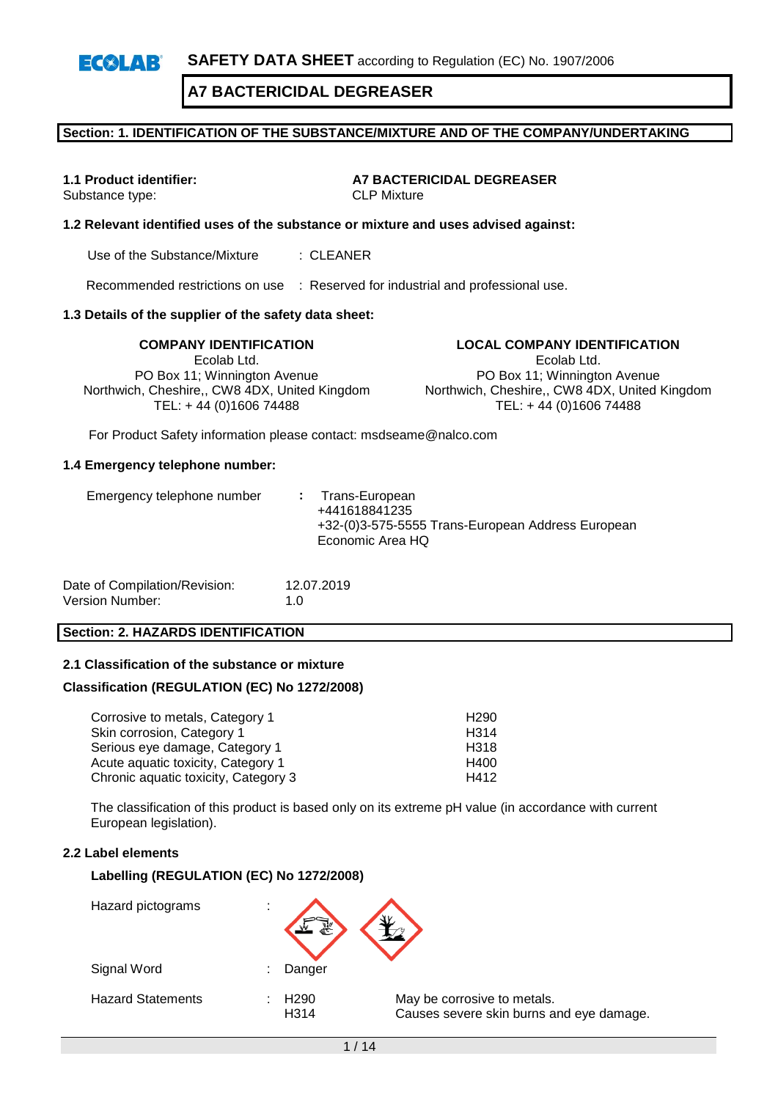# **Section: 1. IDENTIFICATION OF THE SUBSTANCE/MIXTURE AND OF THE COMPANY/UNDERTAKING**

Substance type:

**1.1 Product identifier: A7 BACTERICIDAL DEGREASER**<br>Substance type: **ARTICITY** CLP Mixture

# **1.2 Relevant identified uses of the substance or mixture and uses advised against:**

Use of the Substance/Mixture : CLEANER

Recommended restrictions on use : Reserved for industrial and professional use.

#### **1.3 Details of the supplier of the safety data sheet:**

**COMPANY IDENTIFICATION LOCAL COMPANY IDENTIFICATION** Ecolab Ltd. PO Box 11; Winnington Avenue Northwich, Cheshire,, CW8 4DX, United Kingdom TEL: + 44 (0)1606 74488

Ecolab Ltd. PO Box 11; Winnington Avenue

Northwich, Cheshire,, CW8 4DX, United Kingdom TEL: + 44 (0)1606 74488

For Product Safety information please contact: msdseame@nalco.com

#### **1.4 Emergency telephone number:**

| Emergency telephone number | : Trans-European<br>+441618841235<br>+32-(0)3-575-5555 Trans-European Address European<br>Economic Area HQ |
|----------------------------|------------------------------------------------------------------------------------------------------------|
|                            |                                                                                                            |

| Date of Compilation/Revision: | 12.07.2019  |
|-------------------------------|-------------|
| Version Number:               | 1. $\Omega$ |

#### **Section: 2. HAZARDS IDENTIFICATION**

#### **2.1 Classification of the substance or mixture**

#### **Classification (REGULATION (EC) No 1272/2008)**

| Corrosive to metals, Category 1      | H <sub>290</sub> |
|--------------------------------------|------------------|
| Skin corrosion, Category 1           | H <sub>314</sub> |
| Serious eye damage, Category 1       | H318             |
| Acute aquatic toxicity, Category 1   | H400             |
| Chronic aquatic toxicity, Category 3 | H412             |

The classification of this product is based only on its extreme pH value (in accordance with current European legislation).

# **2.2 Label elements**

#### **Labelling (REGULATION (EC) No 1272/2008)**

| Hazard pictograms        | ٠<br>٠ |                                       |                                                                         |
|--------------------------|--------|---------------------------------------|-------------------------------------------------------------------------|
| Signal Word              | ٠      | Danger                                |                                                                         |
| <b>Hazard Statements</b> |        | H <sub>290</sub><br>H <sub>3</sub> 14 | May be corrosive to metals.<br>Causes severe skin burns and eye damage. |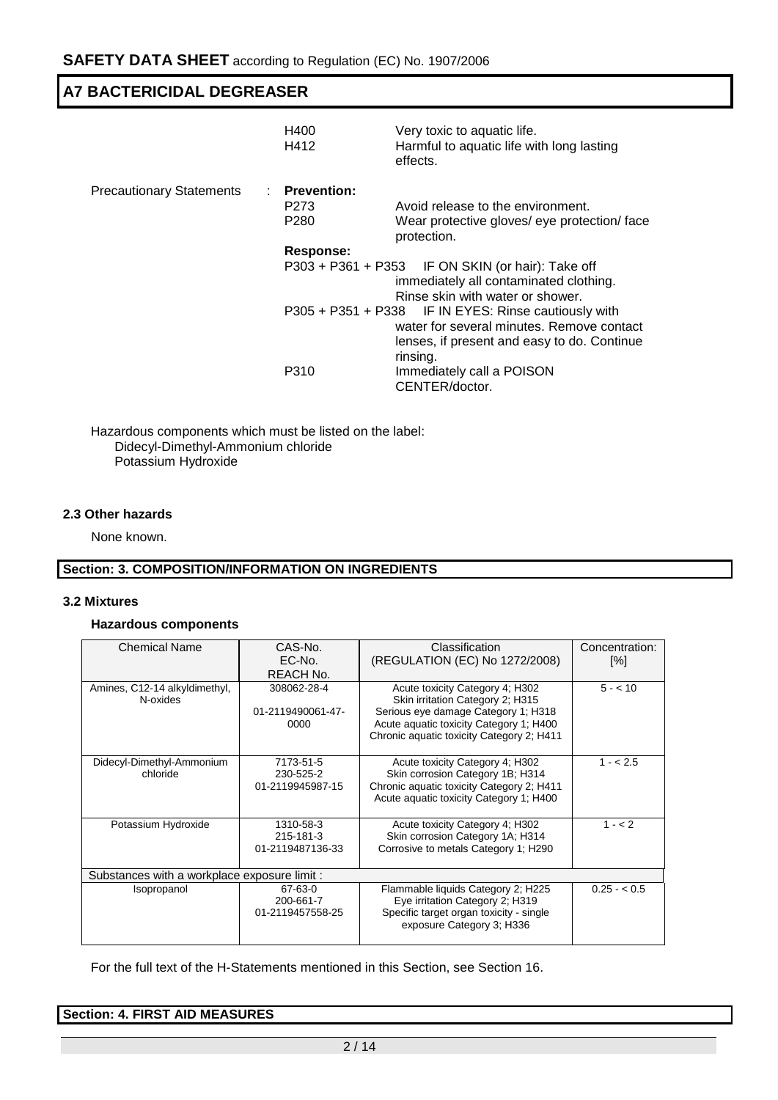|                                 | H400<br>H412     | Very toxic to aquatic life.<br>Harmful to aquatic life with long lasting<br>effects.                                                                         |
|---------------------------------|------------------|--------------------------------------------------------------------------------------------------------------------------------------------------------------|
| <b>Precautionary Statements</b> | : Prevention:    |                                                                                                                                                              |
|                                 | P273             | Avoid release to the environment.                                                                                                                            |
|                                 | P <sub>280</sub> | Wear protective gloves/ eye protection/ face<br>protection.                                                                                                  |
|                                 | Response:        |                                                                                                                                                              |
|                                 |                  | P303 + P361 + P353 IF ON SKIN (or hair): Take off<br>immediately all contaminated clothing.<br>Rinse skin with water or shower.                              |
|                                 |                  | P305 + P351 + P338 IF IN EYES: Rinse cautiously with<br>water for several minutes. Remove contact<br>lenses, if present and easy to do. Continue<br>rinsing. |
|                                 | P310             | Immediately call a POISON<br>CENTER/doctor.                                                                                                                  |

Hazardous components which must be listed on the label: Didecyl-Dimethyl-Ammonium chloride Potassium Hydroxide

# **2.3 Other hazards**

None known.

# **Section: 3. COMPOSITION/INFORMATION ON INGREDIENTS**

#### **3.2 Mixtures**

#### **Hazardous components**

| <b>Chemical Name</b>                         | CAS-No.<br>EC-No.<br>REACH No.             | Classification<br>(REGULATION (EC) No 1272/2008)                                                                                                                                                   | Concentration:<br>[%] |
|----------------------------------------------|--------------------------------------------|----------------------------------------------------------------------------------------------------------------------------------------------------------------------------------------------------|-----------------------|
| Amines, C12-14 alkyldimethyl,<br>N-oxides    | 308062-28-4<br>01-2119490061-47-<br>0000   | Acute toxicity Category 4; H302<br>Skin irritation Category 2; H315<br>Serious eye damage Category 1; H318<br>Acute aquatic toxicity Category 1; H400<br>Chronic aquatic toxicity Category 2; H411 | $5 - 10$              |
| Didecyl-Dimethyl-Ammonium<br>chloride        | 7173-51-5<br>230-525-2<br>01-2119945987-15 | Acute toxicity Category 4; H302<br>Skin corrosion Category 1B; H314<br>Chronic aquatic toxicity Category 2; H411<br>Acute aquatic toxicity Category 1; H400                                        | $1 - 2.5$             |
| Potassium Hydroxide                          | 1310-58-3<br>215-181-3<br>01-2119487136-33 | Acute toxicity Category 4; H302<br>Skin corrosion Category 1A; H314<br>Corrosive to metals Category 1; H290                                                                                        | $1 - 2$               |
| Substances with a workplace exposure limit : |                                            |                                                                                                                                                                                                    |                       |
| Isopropanol                                  | 67-63-0<br>200-661-7<br>01-2119457558-25   | Flammable liquids Category 2; H225<br>Eye irritation Category 2; H319<br>Specific target organ toxicity - single<br>exposure Category 3; H336                                                      | $0.25 - 0.5$          |

For the full text of the H-Statements mentioned in this Section, see Section 16.

| <b>Section: 4. FIRST AID MEASURES</b> |  |  |
|---------------------------------------|--|--|
|                                       |  |  |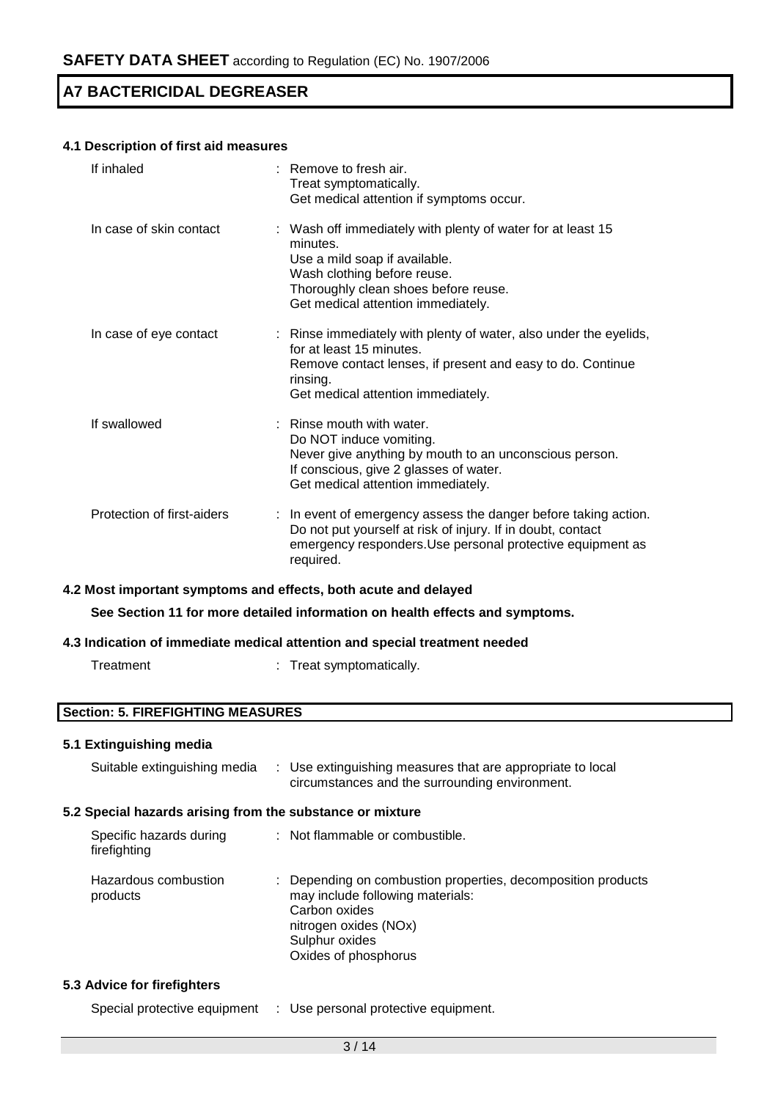# **4.1 Description of first aid measures**

| If inhaled                 | $:$ Remove to fresh air.<br>Treat symptomatically.<br>Get medical attention if symptoms occur.                                                                                                                        |
|----------------------------|-----------------------------------------------------------------------------------------------------------------------------------------------------------------------------------------------------------------------|
| In case of skin contact    | : Wash off immediately with plenty of water for at least 15<br>minutes.<br>Use a mild soap if available.<br>Wash clothing before reuse.<br>Thoroughly clean shoes before reuse.<br>Get medical attention immediately. |
| In case of eye contact     | : Rinse immediately with plenty of water, also under the eyelids,<br>for at least 15 minutes.<br>Remove contact lenses, if present and easy to do. Continue<br>rinsing.<br>Get medical attention immediately.         |
| If swallowed               | : Rinse mouth with water.<br>Do NOT induce vomiting.<br>Never give anything by mouth to an unconscious person.<br>If conscious, give 2 glasses of water.<br>Get medical attention immediately.                        |
| Protection of first-aiders | : In event of emergency assess the danger before taking action.<br>Do not put yourself at risk of injury. If in doubt, contact<br>emergency responders. Use personal protective equipment as<br>required.             |

#### **4.2 Most important symptoms and effects, both acute and delayed**

**See Section 11 for more detailed information on health effects and symptoms.**

#### **4.3 Indication of immediate medical attention and special treatment needed**

| Treatment |  | Treat symptomatically. |
|-----------|--|------------------------|
|-----------|--|------------------------|

# **Section: 5. FIREFIGHTING MEASURES**

# **5.1 Extinguishing media**

| Suitable extinguishing media                              | : Use extinguishing measures that are appropriate to local<br>circumstances and the surrounding environment.                                                                         |  |  |
|-----------------------------------------------------------|--------------------------------------------------------------------------------------------------------------------------------------------------------------------------------------|--|--|
| 5.2 Special hazards arising from the substance or mixture |                                                                                                                                                                                      |  |  |
| Specific hazards during<br>firefighting                   | : Not flammable or combustible.                                                                                                                                                      |  |  |
| Hazardous combustion<br>products                          | : Depending on combustion properties, decomposition products<br>may include following materials:<br>Carbon oxides<br>nitrogen oxides (NOx)<br>Sulphur oxides<br>Oxides of phosphorus |  |  |
| 5.3 Advice for firefighters                               |                                                                                                                                                                                      |  |  |

Special protective equipment : Use personal protective equipment.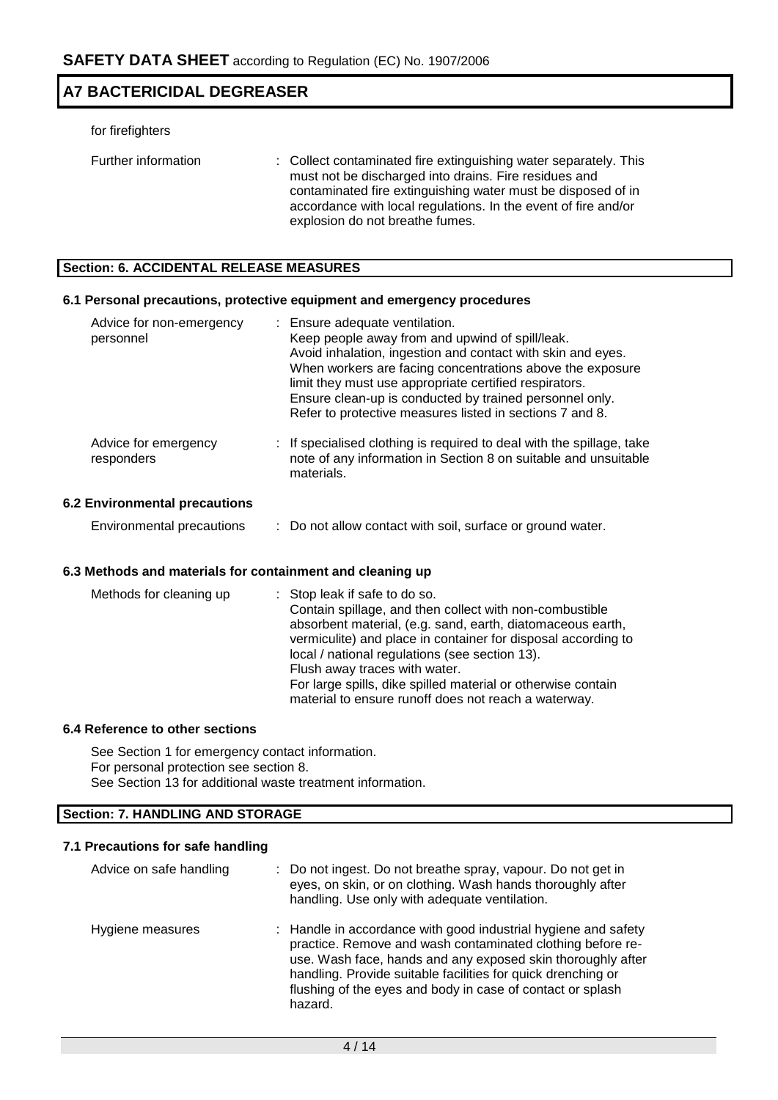#### for firefighters

| Further information | : Collect contaminated fire extinguishing water separately. This |
|---------------------|------------------------------------------------------------------|
|                     | must not be discharged into drains. Fire residues and            |
|                     | contaminated fire extinguishing water must be disposed of in     |
|                     | accordance with local regulations. In the event of fire and/or   |
|                     | explosion do not breathe fumes.                                  |

# **Section: 6. ACCIDENTAL RELEASE MEASURES**

### **6.1 Personal precautions, protective equipment and emergency procedures**

| Advice for non-emergency<br>personnel | : Ensure adequate ventilation.<br>Keep people away from and upwind of spill/leak.<br>Avoid inhalation, ingestion and contact with skin and eyes.<br>When workers are facing concentrations above the exposure<br>limit they must use appropriate certified respirators.<br>Ensure clean-up is conducted by trained personnel only.<br>Refer to protective measures listed in sections 7 and 8. |
|---------------------------------------|------------------------------------------------------------------------------------------------------------------------------------------------------------------------------------------------------------------------------------------------------------------------------------------------------------------------------------------------------------------------------------------------|
| Advice for emergency<br>responders    | : If specialised clothing is required to deal with the spillage, take<br>note of any information in Section 8 on suitable and unsuitable<br>materials.                                                                                                                                                                                                                                         |
| <b>6.2 Environmental precautions</b>  |                                                                                                                                                                                                                                                                                                                                                                                                |

# Environmental precautions : Do not allow contact with soil, surface or ground water.

#### **6.3 Methods and materials for containment and cleaning up**

#### **6.4 Reference to other sections**

See Section 1 for emergency contact information. For personal protection see section 8. See Section 13 for additional waste treatment information.

### **Section: 7. HANDLING AND STORAGE**

#### **7.1 Precautions for safe handling**

| Advice on safe handling | : Do not ingest. Do not breathe spray, vapour. Do not get in<br>eyes, on skin, or on clothing. Wash hands thoroughly after<br>handling. Use only with adequate ventilation.                                                                                                                                                          |
|-------------------------|--------------------------------------------------------------------------------------------------------------------------------------------------------------------------------------------------------------------------------------------------------------------------------------------------------------------------------------|
| Hygiene measures        | : Handle in accordance with good industrial hygiene and safety<br>practice. Remove and wash contaminated clothing before re-<br>use. Wash face, hands and any exposed skin thoroughly after<br>handling. Provide suitable facilities for quick drenching or<br>flushing of the eyes and body in case of contact or splash<br>hazard. |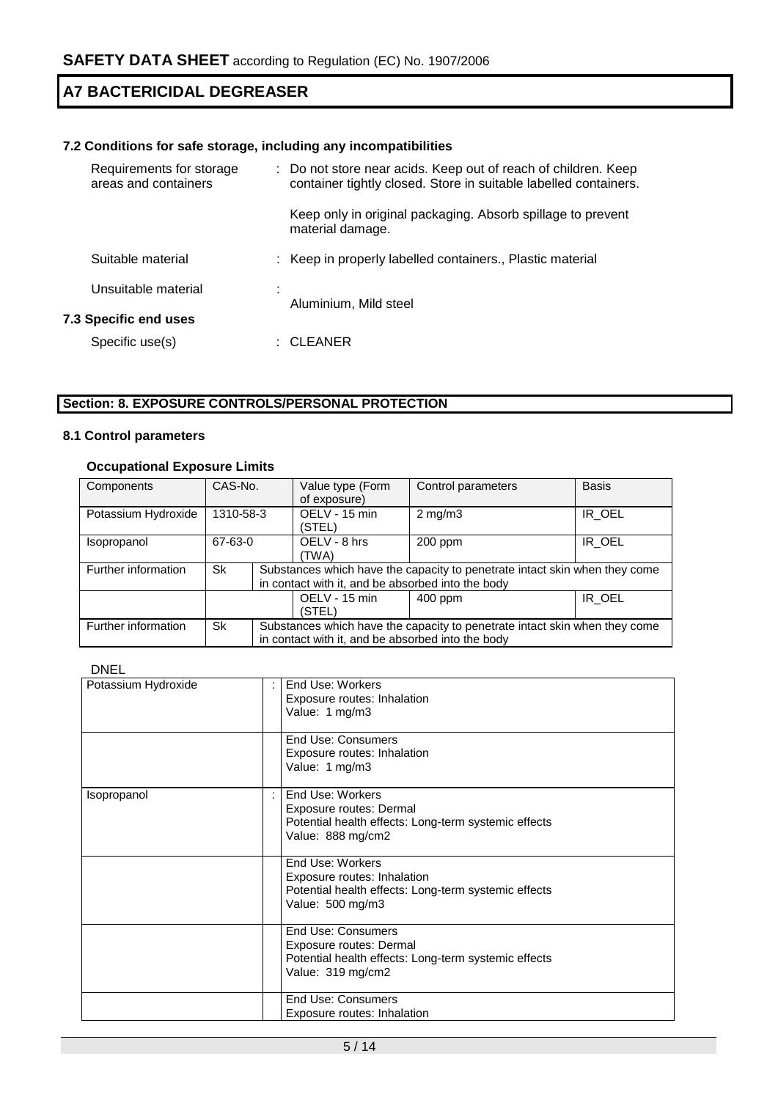# **7.2 Conditions for safe storage, including any incompatibilities**

|                              | Requirements for storage<br>areas and containers | : Do not store near acids. Keep out of reach of children. Keep<br>container tightly closed. Store in suitable labelled containers. |
|------------------------------|--------------------------------------------------|------------------------------------------------------------------------------------------------------------------------------------|
|                              |                                                  | Keep only in original packaging. Absorb spillage to prevent<br>material damage.                                                    |
|                              | Suitable material                                | : Keep in properly labelled containers., Plastic material                                                                          |
|                              | Unsuitable material                              | Aluminium, Mild steel                                                                                                              |
| <b>7.3 Specific end uses</b> |                                                  |                                                                                                                                    |
|                              | Specific use(s)                                  | CLEANER                                                                                                                            |

# **Section: 8. EXPOSURE CONTROLS/PERSONAL PROTECTION**

# **8.1 Control parameters**

# **Occupational Exposure Limits**

| Components          | CAS-No.   |                                                                                                                                 | Value type (Form<br>of exposure)                  | Control parameters                                                         | <b>Basis</b> |  |
|---------------------|-----------|---------------------------------------------------------------------------------------------------------------------------------|---------------------------------------------------|----------------------------------------------------------------------------|--------------|--|
| Potassium Hydroxide | 1310-58-3 |                                                                                                                                 | OELV - 15 min<br>(STEL)                           | $2 \text{ mg/m}$ 3                                                         | IR OEL       |  |
| Isopropanol         | 67-63-0   |                                                                                                                                 | OELV - 8 hrs<br>(TWA)                             | 200 ppm                                                                    | IR OEL       |  |
| Further information | Sk        | Substances which have the capacity to penetrate intact skin when they come<br>in contact with it, and be absorbed into the body |                                                   |                                                                            |              |  |
|                     |           |                                                                                                                                 | OELV - 15 min<br>(STEL)                           | $400$ ppm                                                                  | IR OEL       |  |
| Further information | Sk        |                                                                                                                                 | in contact with it, and be absorbed into the body | Substances which have the capacity to penetrate intact skin when they come |              |  |

# DNEL

| Potassium Hydroxide | End Use: Workers<br>Exposure routes: Inhalation<br>Value: 1 mg/m3<br>End Use: Consumers<br>Exposure routes: Inhalation<br>Value: 1 mg/m3 |
|---------------------|------------------------------------------------------------------------------------------------------------------------------------------|
| Isopropanol         | End Use: Workers<br>Exposure routes: Dermal<br>Potential health effects: Long-term systemic effects<br>Value: 888 mg/cm2                 |
|                     | End Use: Workers<br>Exposure routes: Inhalation<br>Potential health effects: Long-term systemic effects<br>Value: 500 mg/m3              |
|                     | <b>End Use: Consumers</b><br>Exposure routes: Dermal<br>Potential health effects: Long-term systemic effects<br>Value: 319 mg/cm2        |
|                     | End Use: Consumers<br>Exposure routes: Inhalation                                                                                        |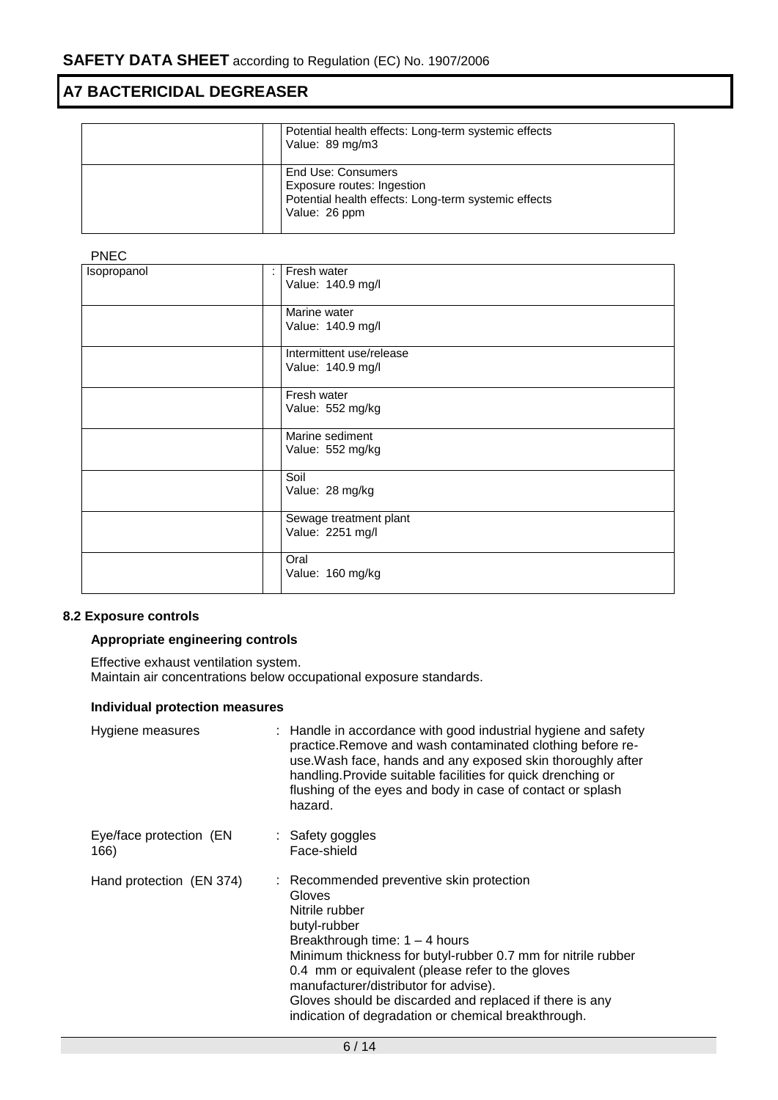| Potential health effects: Long-term systemic effects<br>Value: 89 mg/m3                                                   |
|---------------------------------------------------------------------------------------------------------------------------|
| End Use: Consumers<br>Exposure routes: Ingestion<br>Potential health effects: Long-term systemic effects<br>Value: 26 ppm |

# PNEC

| .           |    |                                               |
|-------------|----|-----------------------------------------------|
| Isopropanol | ÷. | Fresh water<br>Value: 140.9 mg/l              |
|             |    | Marine water<br>Value: 140.9 mg/l             |
|             |    | Intermittent use/release<br>Value: 140.9 mg/l |
|             |    | Fresh water<br>Value: 552 mg/kg               |
|             |    | Marine sediment<br>Value: 552 mg/kg           |
|             |    | Soil<br>Value: 28 mg/kg                       |
|             |    | Sewage treatment plant<br>Value: 2251 mg/l    |
|             |    | Oral<br>Value: 160 mg/kg                      |

# **8.2 Exposure controls**

# **Appropriate engineering controls**

Effective exhaust ventilation system. Maintain air concentrations below occupational exposure standards.

# **Individual protection measures**

| Hygiene measures                | : Handle in accordance with good industrial hygiene and safety<br>practice. Remove and wash contaminated clothing before re-<br>use. Wash face, hands and any exposed skin thoroughly after<br>handling. Provide suitable facilities for quick drenching or<br>flushing of the eyes and body in case of contact or splash<br>hazard.                                                                    |
|---------------------------------|---------------------------------------------------------------------------------------------------------------------------------------------------------------------------------------------------------------------------------------------------------------------------------------------------------------------------------------------------------------------------------------------------------|
| Eye/face protection (EN<br>166) | : Safety goggles<br>Face-shield                                                                                                                                                                                                                                                                                                                                                                         |
| Hand protection (EN 374)        | : Recommended preventive skin protection<br>Gloves<br>Nitrile rubber<br>butyl-rubber<br>Breakthrough time: $1 - 4$ hours<br>Minimum thickness for butyl-rubber 0.7 mm for nitrile rubber<br>0.4 mm or equivalent (please refer to the gloves<br>manufacturer/distributor for advise).<br>Gloves should be discarded and replaced if there is any<br>indication of degradation or chemical breakthrough. |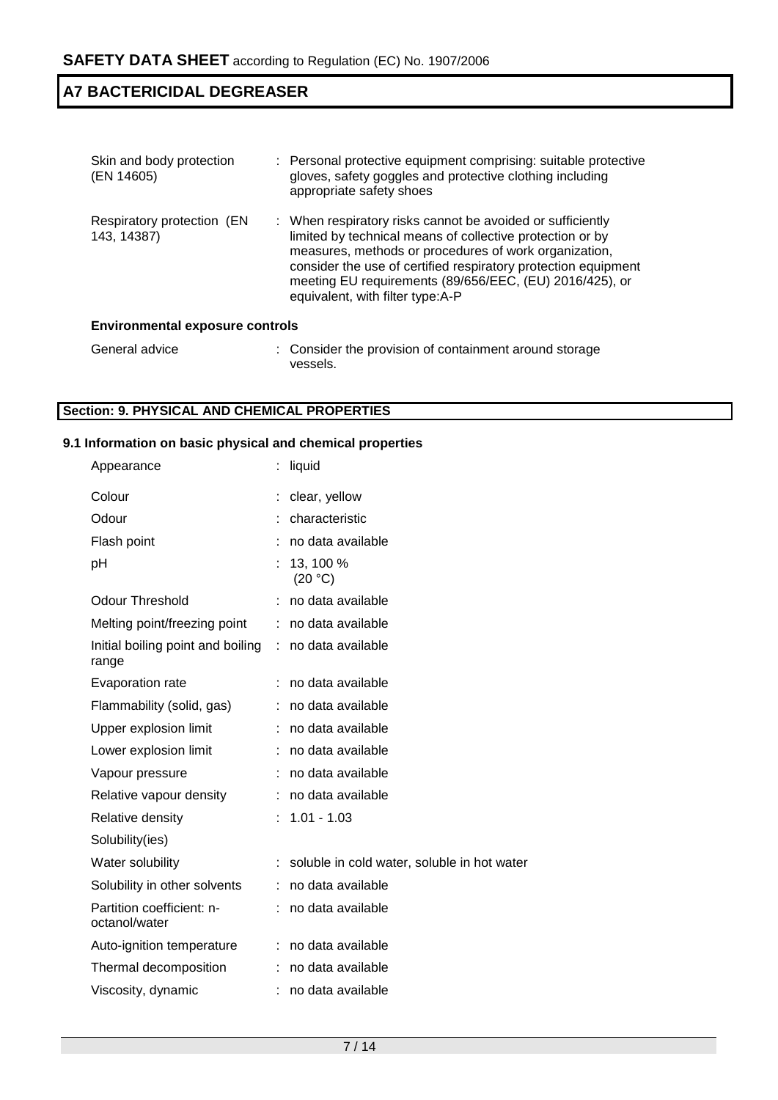| Skin and body protection<br>(EN 14605)    | : Personal protective equipment comprising: suitable protective<br>gloves, safety goggles and protective clothing including<br>appropriate safety shoes                                                                                                                                                                                           |  |  |  |
|-------------------------------------------|---------------------------------------------------------------------------------------------------------------------------------------------------------------------------------------------------------------------------------------------------------------------------------------------------------------------------------------------------|--|--|--|
| Respiratory protection (EN<br>143, 14387) | : When respiratory risks cannot be avoided or sufficiently<br>limited by technical means of collective protection or by<br>measures, methods or procedures of work organization,<br>consider the use of certified respiratory protection equipment<br>meeting EU requirements (89/656/EEC, (EU) 2016/425), or<br>equivalent, with filter type:A-P |  |  |  |
| <b>Environmental exposure controls</b>    |                                                                                                                                                                                                                                                                                                                                                   |  |  |  |
|                                           |                                                                                                                                                                                                                                                                                                                                                   |  |  |  |

#### General advice : Consider the provision of containment around storage vessels.

# **Section: 9. PHYSICAL AND CHEMICAL PROPERTIES**

# **9.1 Information on basic physical and chemical properties**

| Appearance                                 | liquid                                      |
|--------------------------------------------|---------------------------------------------|
| Colour                                     | clear, yellow                               |
| Odour                                      | characteristic                              |
| Flash point                                | no data available                           |
| рH                                         | 13, 100 %<br>(20 °C)                        |
| Odour Threshold                            | no data available                           |
| Melting point/freezing point               | no data available                           |
| Initial boiling point and boiling<br>range | no data available                           |
| Evaporation rate                           | no data available                           |
| Flammability (solid, gas)                  | no data available                           |
| Upper explosion limit                      | no data available                           |
| Lower explosion limit                      | no data available                           |
| Vapour pressure                            | no data available                           |
| Relative vapour density                    | : no data available                         |
| Relative density                           | $1.01 - 1.03$                               |
| Solubility(ies)                            |                                             |
| Water solubility                           | soluble in cold water, soluble in hot water |
| Solubility in other solvents               | no data available                           |
| Partition coefficient: n-<br>octanol/water | no data available                           |
| Auto-ignition temperature                  | : no data available                         |
| Thermal decomposition                      | no data available                           |
| Viscosity, dynamic                         | no data available                           |
|                                            |                                             |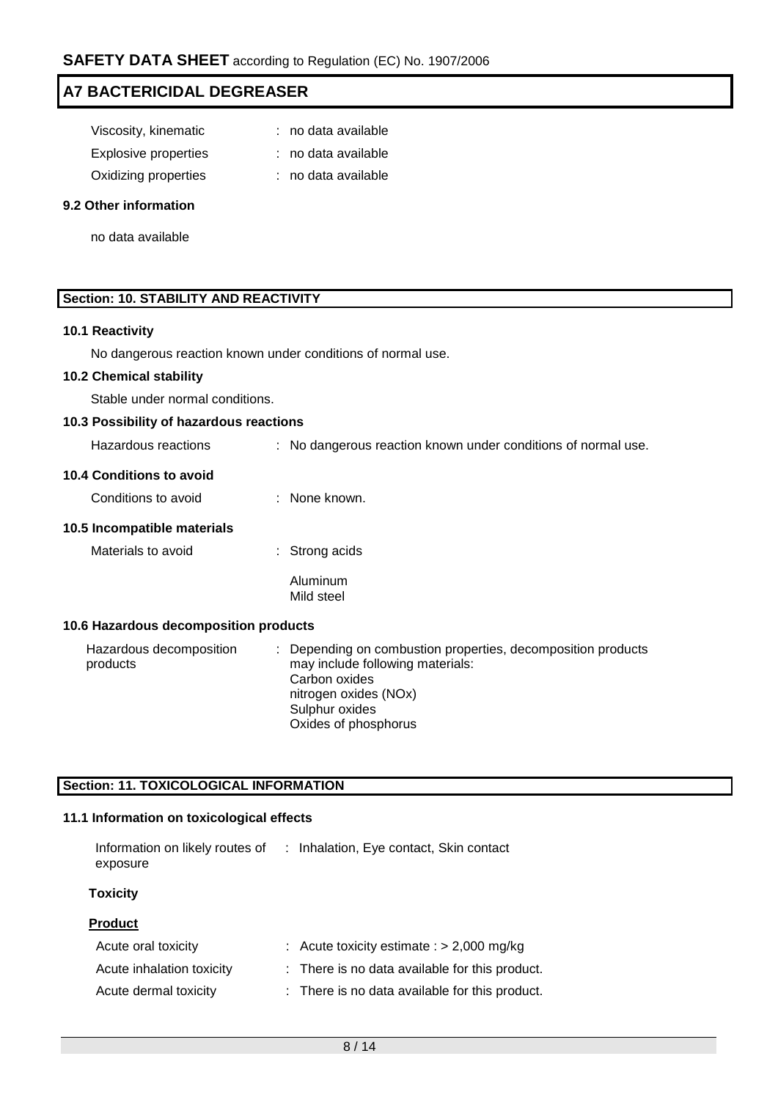| Viscosity, kinematic        | : no data available |
|-----------------------------|---------------------|
| <b>Explosive properties</b> | : no data available |
| Oxidizing properties        | : no data available |

#### **9.2 Other information**

no data available

# **Section: 10. STABILITY AND REACTIVITY**

#### **10.1 Reactivity**

No dangerous reaction known under conditions of normal use.

#### **10.2 Chemical stability**

Stable under normal conditions.

### **10.3 Possibility of hazardous reactions**

| Hazardous reactions |  | : No dangerous reaction known under conditions of normal use. |  |
|---------------------|--|---------------------------------------------------------------|--|
|---------------------|--|---------------------------------------------------------------|--|

# **10.4 Conditions to avoid**

| Conditions to avoid<br>None known. |
|------------------------------------|
|                                    |

#### **10.5 Incompatible materials**

Materials to avoid : Strong acids

Aluminum Mild steel

### **10.6 Hazardous decomposition products**

Hazardous decomposition products : Depending on combustion properties, decomposition products may include following materials: Carbon oxides nitrogen oxides (NOx) Sulphur oxides Oxides of phosphorus

### **Section: 11. TOXICOLOGICAL INFORMATION**

# **11.1 Information on toxicological effects**

| Information on likely routes of<br>exposure | : Inhalation, Eye contact, Skin contact        |
|---------------------------------------------|------------------------------------------------|
| <b>Toxicity</b>                             |                                                |
| <b>Product</b>                              |                                                |
| Acute oral toxicity                         | : Acute toxicity estimate : $> 2,000$ mg/kg    |
| Acute inhalation toxicity                   | : There is no data available for this product. |
| Acute dermal toxicity                       | : There is no data available for this product. |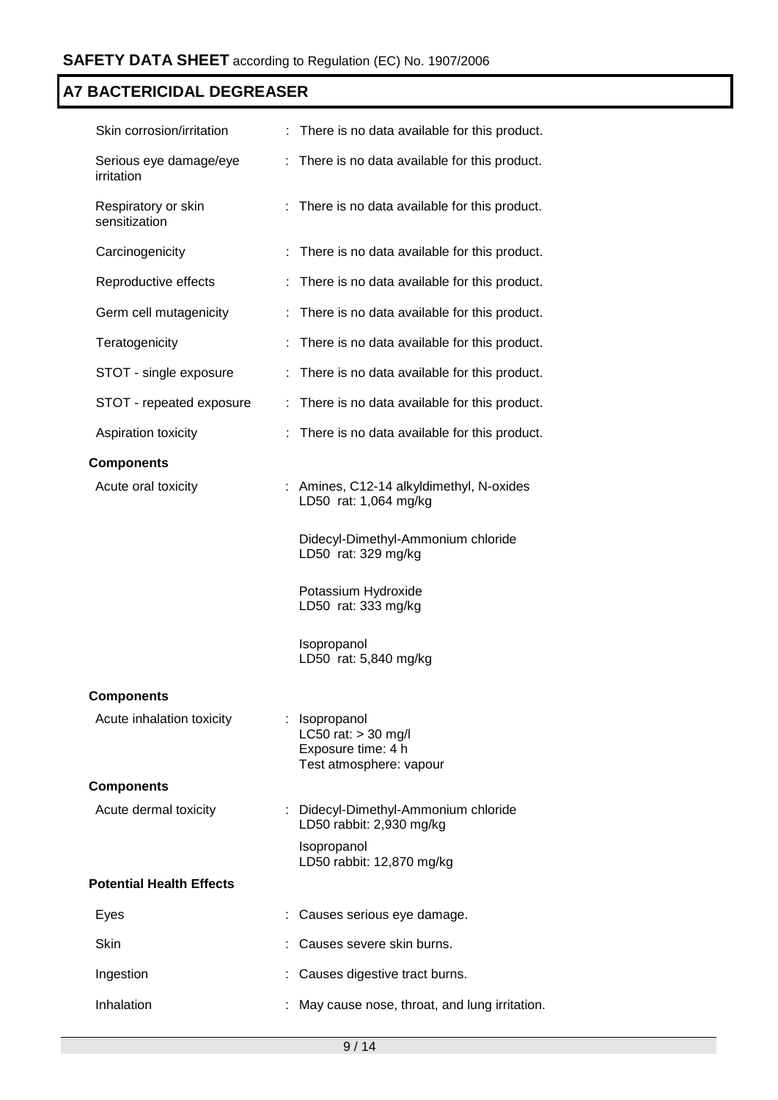| Skin corrosion/irritation            |    | There is no data available for this product.                                            |
|--------------------------------------|----|-----------------------------------------------------------------------------------------|
| Serious eye damage/eye<br>irritation | ÷. | There is no data available for this product.                                            |
| Respiratory or skin<br>sensitization | ÷. | There is no data available for this product.                                            |
| Carcinogenicity                      | ÷. | There is no data available for this product.                                            |
| Reproductive effects                 |    | There is no data available for this product.                                            |
| Germ cell mutagenicity               |    | There is no data available for this product.                                            |
| Teratogenicity                       |    | There is no data available for this product.                                            |
| STOT - single exposure               | ÷  | There is no data available for this product.                                            |
| STOT - repeated exposure             |    | There is no data available for this product.                                            |
| Aspiration toxicity                  |    | There is no data available for this product.                                            |
| <b>Components</b>                    |    |                                                                                         |
| Acute oral toxicity                  |    | Amines, C12-14 alkyldimethyl, N-oxides<br>LD50 rat: 1,064 mg/kg                         |
|                                      |    | Didecyl-Dimethyl-Ammonium chloride<br>LD50 rat: 329 mg/kg                               |
|                                      |    | Potassium Hydroxide<br>LD50 rat: 333 mg/kg                                              |
|                                      |    | Isopropanol<br>LD50 rat: 5,840 mg/kg                                                    |
| <b>Components</b>                    |    |                                                                                         |
| Acute inhalation toxicity            |    | : Isopropanol<br>LC50 rat: $>$ 30 mg/l<br>Exposure time: 4 h<br>Test atmosphere: vapour |
| <b>Components</b>                    |    |                                                                                         |
| Acute dermal toxicity                |    | : Didecyl-Dimethyl-Ammonium chloride<br>LD50 rabbit: 2,930 mg/kg                        |
|                                      |    | Isopropanol<br>LD50 rabbit: 12,870 mg/kg                                                |
| <b>Potential Health Effects</b>      |    |                                                                                         |
| Eyes                                 |    | Causes serious eye damage.                                                              |
| Skin                                 |    | Causes severe skin burns.                                                               |
| Ingestion                            |    | Causes digestive tract burns.                                                           |
| Inhalation                           |    | May cause nose, throat, and lung irritation.                                            |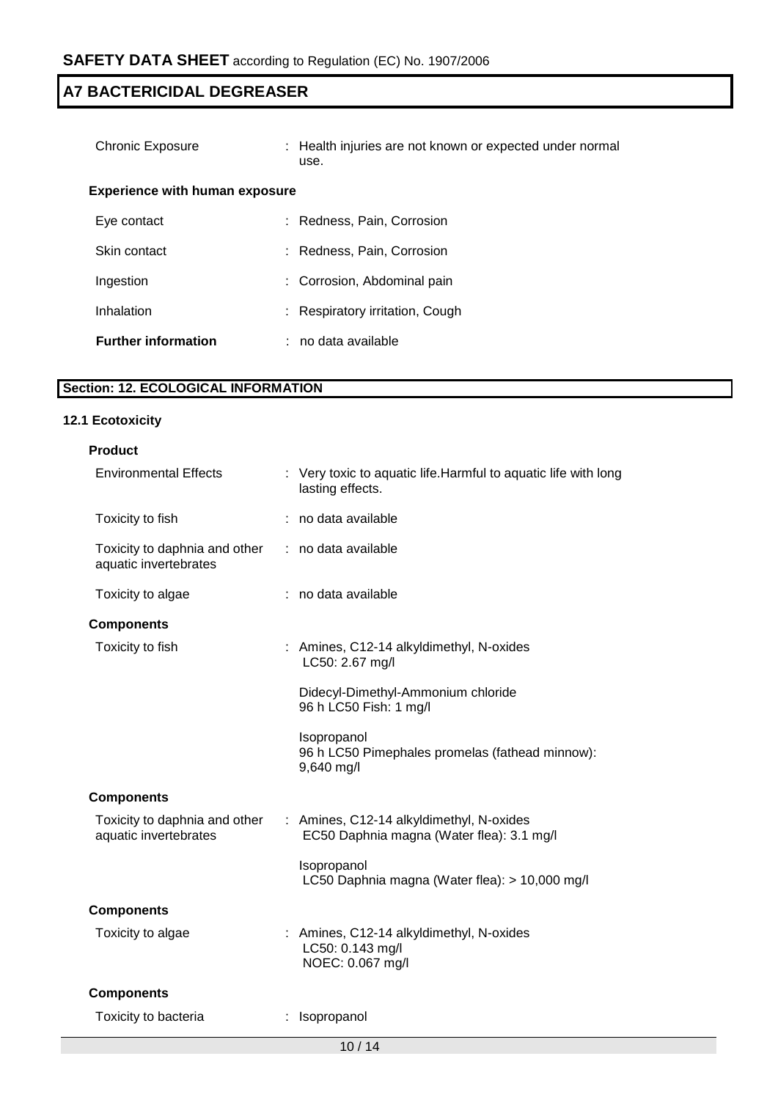| Chronic Exposure                      | : Health injuries are not known or expected under normal<br>use. |  |
|---------------------------------------|------------------------------------------------------------------|--|
| <b>Experience with human exposure</b> |                                                                  |  |
| Eye contact                           | : Redness, Pain, Corrosion                                       |  |
| Skin contact                          | Redness, Pain, Corrosion                                         |  |
| Ingestion                             | : Corrosion, Abdominal pain                                      |  |
| Inhalation                            | : Respiratory irritation, Cough                                  |  |
| <b>Further information</b>            | : no data available                                              |  |

# **Section: 12. ECOLOGICAL INFORMATION**

### **12.1 Ecotoxicity**

| <b>Product</b>                                         |                                                                                       |
|--------------------------------------------------------|---------------------------------------------------------------------------------------|
| <b>Environmental Effects</b>                           | : Very toxic to aquatic life. Harmful to aquatic life with long<br>lasting effects.   |
| Toxicity to fish                                       | : no data available                                                                   |
| Toxicity to daphnia and other<br>aquatic invertebrates | : no data available                                                                   |
| Toxicity to algae                                      | : no data available                                                                   |
| <b>Components</b>                                      |                                                                                       |
| Toxicity to fish                                       | : Amines, C12-14 alkyldimethyl, N-oxides<br>LC50: 2.67 mg/l                           |
|                                                        | Didecyl-Dimethyl-Ammonium chloride<br>96 h LC50 Fish: 1 mg/l                          |
|                                                        | Isopropanol<br>96 h LC50 Pimephales promelas (fathead minnow):<br>9,640 mg/l          |
| <b>Components</b>                                      |                                                                                       |
| Toxicity to daphnia and other<br>aquatic invertebrates | : Amines, C12-14 alkyldimethyl, N-oxides<br>EC50 Daphnia magna (Water flea): 3.1 mg/l |
|                                                        | Isopropanol<br>LC50 Daphnia magna (Water flea): > 10,000 mg/l                         |
| <b>Components</b>                                      |                                                                                       |
| Toxicity to algae                                      | : Amines, C12-14 alkyldimethyl, N-oxides<br>LC50: 0.143 mg/l<br>NOEC: 0.067 mg/l      |
| <b>Components</b>                                      |                                                                                       |
| Toxicity to bacteria                                   | Isopropanol                                                                           |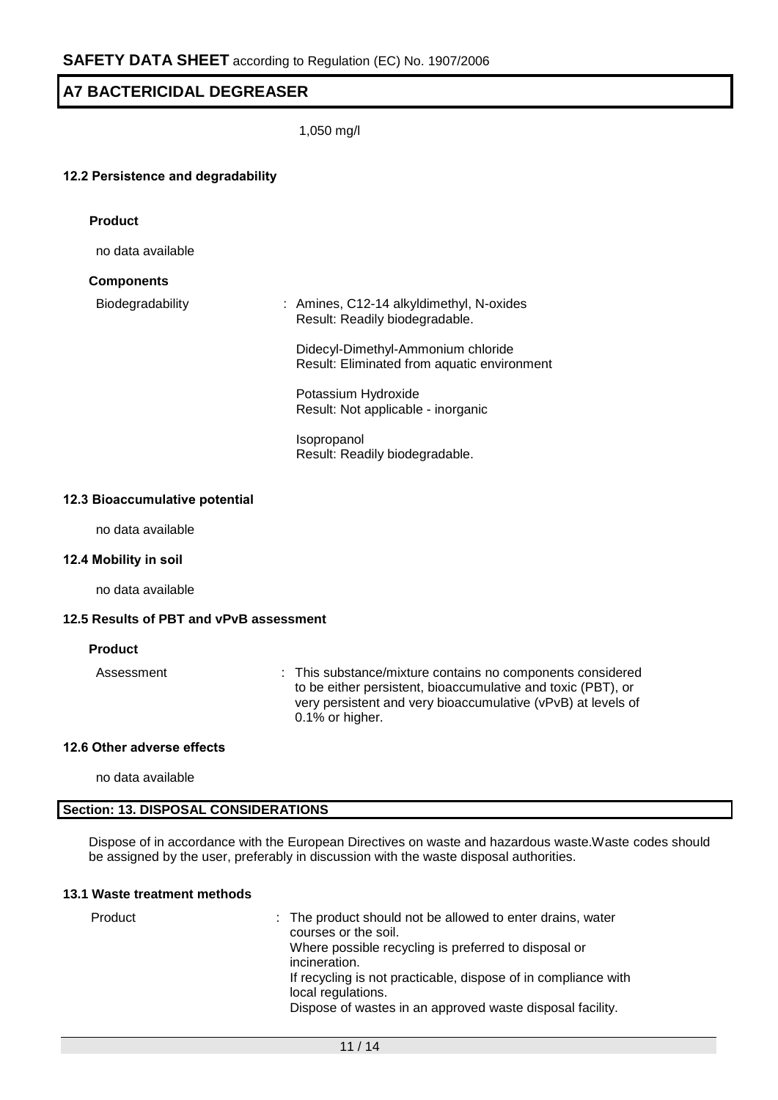1,050 mg/l

#### **12.2 Persistence and degradability**

| <b>Product</b>          |                                                                                   |
|-------------------------|-----------------------------------------------------------------------------------|
| no data available       |                                                                                   |
| <b>Components</b>       |                                                                                   |
| <b>Biodegradability</b> | : Amines, C12-14 alkyldimethyl, N-oxides<br>Result: Readily biodegradable.        |
|                         | Didecyl-Dimethyl-Ammonium chloride<br>Result: Eliminated from aquatic environment |
|                         | Potassium Hydroxide<br>Result: Not applicable - inorganic                         |
|                         | <b>Isopropanol</b><br>Result: Readily biodegradable.                              |
|                         |                                                                                   |

#### **12.3 Bioaccumulative potential**

no data available

#### **12.4 Mobility in soil**

no data available

#### **12.5 Results of PBT and vPvB assessment**

#### **Product**

Assessment : This substance/mixture contains no components considered to be either persistent, bioaccumulative and toxic (PBT), or very persistent and very bioaccumulative (vPvB) at levels of 0.1% or higher.

#### **12.6 Other adverse effects**

no data available

#### **Section: 13. DISPOSAL CONSIDERATIONS**

Dispose of in accordance with the European Directives on waste and hazardous waste.Waste codes should be assigned by the user, preferably in discussion with the waste disposal authorities.

# **13.1 Waste treatment methods**

Product : The product should not be allowed to enter drains, water courses or the soil. Where possible recycling is preferred to disposal or incineration. If recycling is not practicable, dispose of in compliance with local regulations. Dispose of wastes in an approved waste disposal facility.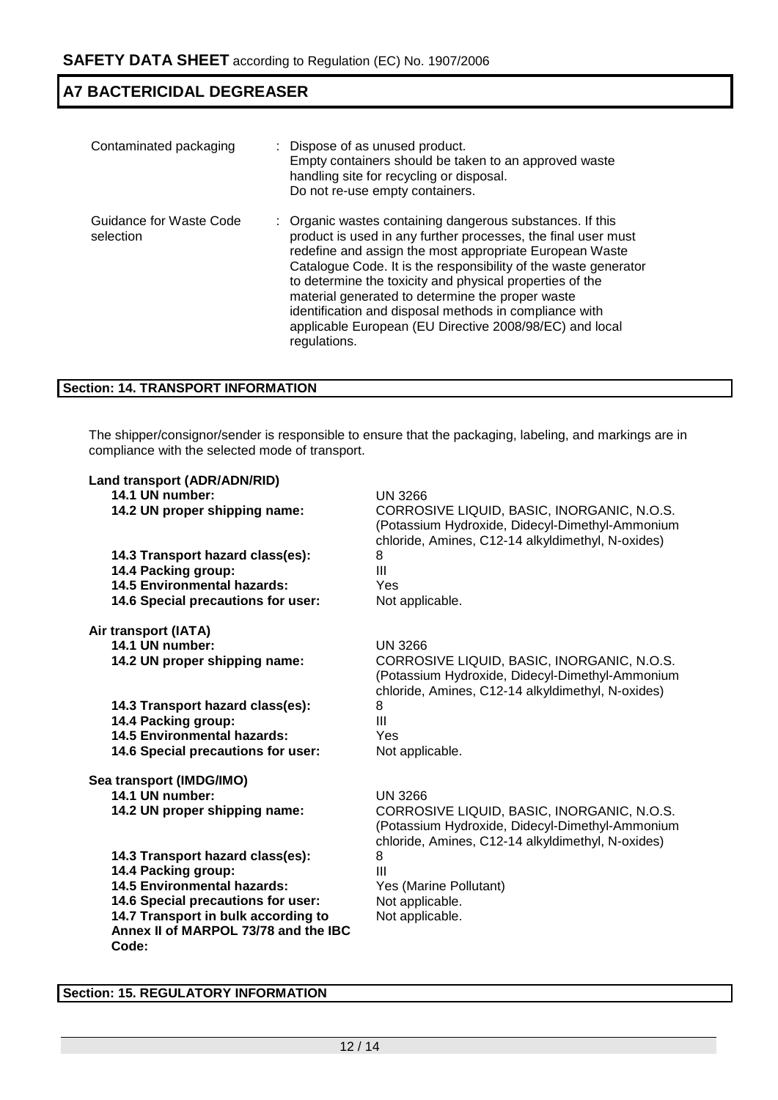| Contaminated packaging               | : Dispose of as unused product.<br>Empty containers should be taken to an approved waste<br>handling site for recycling or disposal.<br>Do not re-use empty containers.                                                                                                                                                                                                                                                                                                                                       |
|--------------------------------------|---------------------------------------------------------------------------------------------------------------------------------------------------------------------------------------------------------------------------------------------------------------------------------------------------------------------------------------------------------------------------------------------------------------------------------------------------------------------------------------------------------------|
| Guidance for Waste Code<br>selection | : Organic wastes containing dangerous substances. If this<br>product is used in any further processes, the final user must<br>redefine and assign the most appropriate European Waste<br>Catalogue Code. It is the responsibility of the waste generator<br>to determine the toxicity and physical properties of the<br>material generated to determine the proper waste<br>identification and disposal methods in compliance with<br>applicable European (EU Directive 2008/98/EC) and local<br>regulations. |

# **Section: 14. TRANSPORT INFORMATION**

The shipper/consignor/sender is responsible to ensure that the packaging, labeling, and markings are in compliance with the selected mode of transport.

| Land transport (ADR/ADN/RID)                  |                                                                                                                                                    |
|-----------------------------------------------|----------------------------------------------------------------------------------------------------------------------------------------------------|
| 14.1 UN number:                               | <b>UN 3266</b>                                                                                                                                     |
| 14.2 UN proper shipping name:                 | CORROSIVE LIQUID, BASIC, INORGANIC, N.O.S.<br>(Potassium Hydroxide, Didecyl-Dimethyl-Ammonium<br>chloride, Amines, C12-14 alkyldimethyl, N-oxides) |
| 14.3 Transport hazard class(es):              | 8                                                                                                                                                  |
| 14.4 Packing group:                           | III                                                                                                                                                |
| <b>14.5 Environmental hazards:</b>            | Yes                                                                                                                                                |
| 14.6 Special precautions for user:            | Not applicable.                                                                                                                                    |
| Air transport (IATA)                          |                                                                                                                                                    |
| 14.1 UN number:                               | <b>UN 3266</b>                                                                                                                                     |
| 14.2 UN proper shipping name:                 | CORROSIVE LIQUID, BASIC, INORGANIC, N.O.S.<br>(Potassium Hydroxide, Didecyl-Dimethyl-Ammonium<br>chloride, Amines, C12-14 alkyldimethyl, N-oxides) |
| 14.3 Transport hazard class(es):              | 8                                                                                                                                                  |
| 14.4 Packing group:                           | III                                                                                                                                                |
| <b>14.5 Environmental hazards:</b>            | Yes                                                                                                                                                |
| 14.6 Special precautions for user:            | Not applicable.                                                                                                                                    |
| Sea transport (IMDG/IMO)                      |                                                                                                                                                    |
| 14.1 UN number:                               | <b>UN 3266</b>                                                                                                                                     |
| 14.2 UN proper shipping name:                 | CORROSIVE LIQUID, BASIC, INORGANIC, N.O.S.<br>(Potassium Hydroxide, Didecyl-Dimethyl-Ammonium<br>chloride, Amines, C12-14 alkyldimethyl, N-oxides) |
| 14.3 Transport hazard class(es):              | 8                                                                                                                                                  |
| 14.4 Packing group:                           | Ш                                                                                                                                                  |
| <b>14.5 Environmental hazards:</b>            | Yes (Marine Pollutant)                                                                                                                             |
| 14.6 Special precautions for user:            | Not applicable.                                                                                                                                    |
| 14.7 Transport in bulk according to           | Not applicable.                                                                                                                                    |
| Annex II of MARPOL 73/78 and the IBC<br>Code: |                                                                                                                                                    |
|                                               |                                                                                                                                                    |

# **Section: 15. REGULATORY INFORMATION**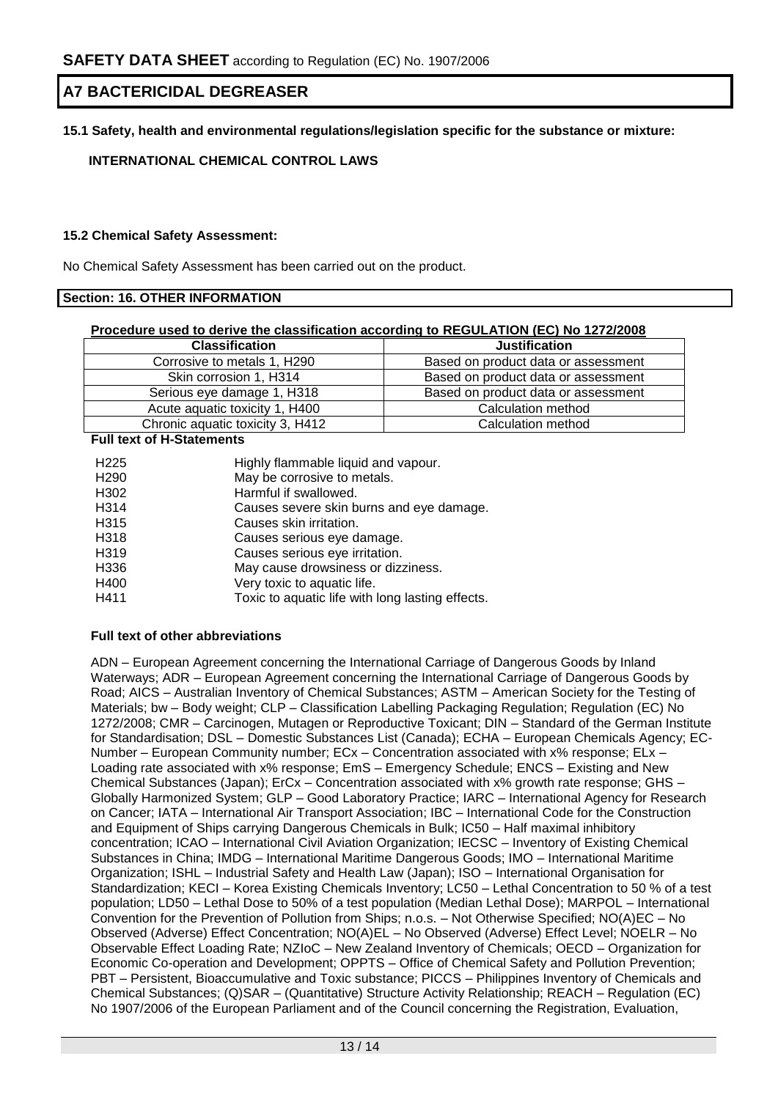# **15.1 Safety, health and environmental regulations/legislation specific for the substance or mixture:**

# **INTERNATIONAL CHEMICAL CONTROL LAWS**

#### **15.2 Chemical Safety Assessment:**

No Chemical Safety Assessment has been carried out on the product.

#### **Section: 16. OTHER INFORMATION**

#### **Procedure used to derive the classification according to REGULATION (EC) No 1272/2008**

| <b>Classification</b>            | <b>Justification</b>                |
|----------------------------------|-------------------------------------|
| Corrosive to metals 1, H290      | Based on product data or assessment |
| Skin corrosion 1, H314           | Based on product data or assessment |
| Serious eye damage 1, H318       | Based on product data or assessment |
| Acute aquatic toxicity 1, H400   | Calculation method                  |
| Chronic aquatic toxicity 3, H412 | Calculation method                  |

#### **Full text of H-Statements**

| H <sub>225</sub>  | Highly flammable liquid and vapour.              |
|-------------------|--------------------------------------------------|
| H <sub>290</sub>  | May be corrosive to metals.                      |
| H302              | Harmful if swallowed.                            |
| H <sub>3</sub> 14 | Causes severe skin burns and eye damage.         |
| H <sub>3</sub> 15 | Causes skin irritation.                          |
| H318              | Causes serious eye damage.                       |
| H319              | Causes serious eye irritation.                   |
| H336              | May cause drowsiness or dizziness.               |
| H400              | Very toxic to aquatic life.                      |
| H411              | Toxic to aquatic life with long lasting effects. |

#### **Full text of other abbreviations**

ADN – European Agreement concerning the International Carriage of Dangerous Goods by Inland Waterways; ADR – European Agreement concerning the International Carriage of Dangerous Goods by Road; AICS – Australian Inventory of Chemical Substances; ASTM – American Society for the Testing of Materials; bw – Body weight; CLP – Classification Labelling Packaging Regulation; Regulation (EC) No 1272/2008; CMR – Carcinogen, Mutagen or Reproductive Toxicant; DIN – Standard of the German Institute for Standardisation; DSL – Domestic Substances List (Canada); ECHA – European Chemicals Agency; EC-Number – European Community number; ECx – Concentration associated with x% response; ELx – Loading rate associated with x% response; EmS – Emergency Schedule; ENCS – Existing and New Chemical Substances (Japan); ErCx – Concentration associated with x% growth rate response; GHS – Globally Harmonized System; GLP – Good Laboratory Practice; IARC – International Agency for Research on Cancer; IATA – International Air Transport Association; IBC – International Code for the Construction and Equipment of Ships carrying Dangerous Chemicals in Bulk; IC50 – Half maximal inhibitory concentration; ICAO – International Civil Aviation Organization; IECSC – Inventory of Existing Chemical Substances in China; IMDG – International Maritime Dangerous Goods; IMO – International Maritime Organization; ISHL – Industrial Safety and Health Law (Japan); ISO – International Organisation for Standardization; KECI – Korea Existing Chemicals Inventory; LC50 – Lethal Concentration to 50 % of a test population; LD50 – Lethal Dose to 50% of a test population (Median Lethal Dose); MARPOL – International Convention for the Prevention of Pollution from Ships; n.o.s. – Not Otherwise Specified; NO(A)EC – No Observed (Adverse) Effect Concentration; NO(A)EL – No Observed (Adverse) Effect Level; NOELR – No Observable Effect Loading Rate; NZIoC – New Zealand Inventory of Chemicals; OECD – Organization for Economic Co-operation and Development; OPPTS – Office of Chemical Safety and Pollution Prevention; PBT – Persistent, Bioaccumulative and Toxic substance; PICCS – Philippines Inventory of Chemicals and Chemical Substances; (Q)SAR – (Quantitative) Structure Activity Relationship; REACH – Regulation (EC) No 1907/2006 of the European Parliament and of the Council concerning the Registration, Evaluation,